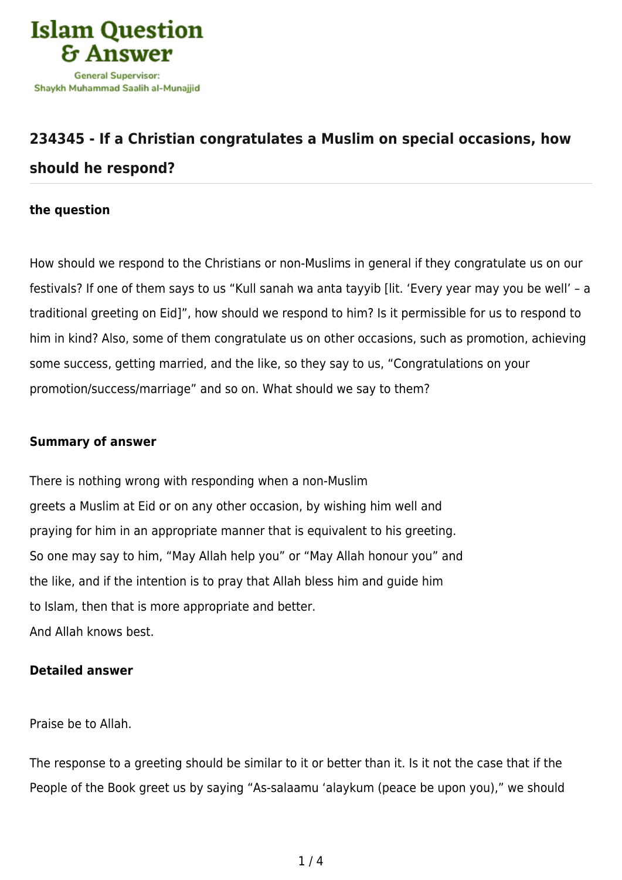

## **[234345 - If a Christian congratulates a Muslim on special occasions, how](https://islamqa.ws/en/answers/234345/if-a-christian-congratulates-a-muslim-on-special-occasions-how-should-he-respond) [should he respond?](https://islamqa.ws/en/answers/234345/if-a-christian-congratulates-a-muslim-on-special-occasions-how-should-he-respond)**

## **the question**

How should we respond to the Christians or non-Muslims in general if they congratulate us on our festivals? If one of them says to us "Kull sanah wa anta tayyib [lit. 'Every year may you be well' – a traditional greeting on Eid]", how should we respond to him? Is it permissible for us to respond to him in kind? Also, some of them congratulate us on other occasions, such as promotion, achieving some success, getting married, and the like, so they say to us, "Congratulations on your promotion/success/marriage" and so on. What should we say to them?

## **Summary of answer**

There is nothing wrong with responding when a non-Muslim greets a Muslim at Eid or on any other occasion, by wishing him well and praying for him in an appropriate manner that is equivalent to his greeting. So one may say to him, "May Allah help you" or "May Allah honour you" and the like, and if the intention is to pray that Allah bless him and guide him to Islam, then that is more appropriate and better. And Allah knows best.

## **Detailed answer**

Praise be to Allah.

The response to a greeting should be similar to it or better than it. Is it not the case that if the People of the Book greet us by saying "As-salaamu 'alaykum (peace be upon you)," we should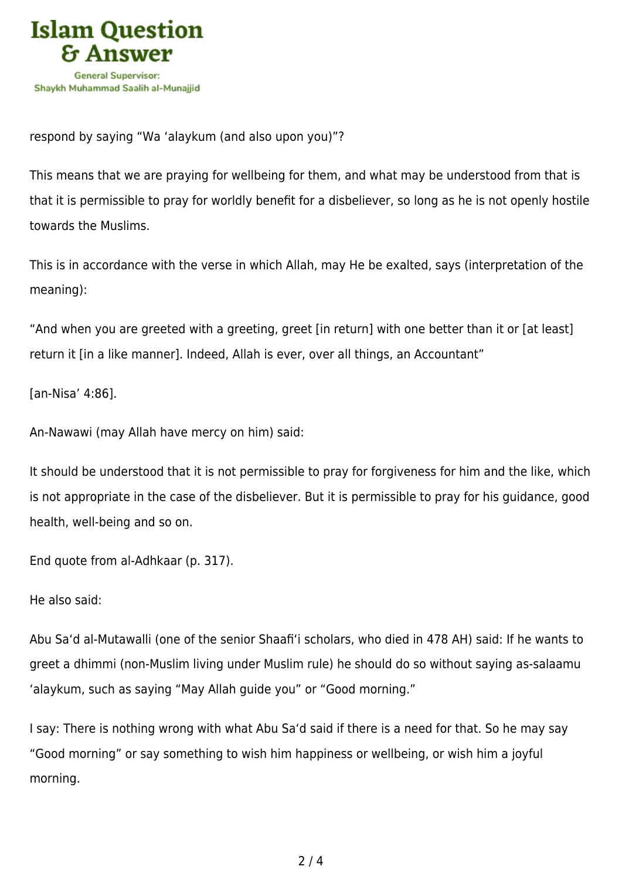

respond by saying "Wa 'alaykum (and also upon you)"?

This means that we are praying for wellbeing for them, and what may be understood from that is that it is permissible to pray for worldly benefit for a disbeliever, so long as he is not openly hostile towards the Muslims.

This is in accordance with the verse in which Allah, may He be exalted, says (interpretation of the meaning):

"And when you are greeted with a greeting, greet [in return] with one better than it or [at least] return it [in a like manner]. Indeed, Allah is ever, over all things, an Accountant"

[an-Nisa' 4:86].

An-Nawawi (may Allah have mercy on him) said:

It should be understood that it is not permissible to pray for forgiveness for him and the like, which is not appropriate in the case of the disbeliever. But it is permissible to pray for his guidance, good health, well-being and so on.

End quote from al-Adhkaar (p. 317).

He also said:

Abu Sa'd al-Mutawalli (one of the senior Shaafi'i scholars, who died in 478 AH) said: If he wants to greet a dhimmi (non-Muslim living under Muslim rule) he should do so without saying as-salaamu 'alaykum, such as saying "May Allah guide you" or "Good morning."

I say: There is nothing wrong with what Abu Sa'd said if there is a need for that. So he may say "Good morning" or say something to wish him happiness or wellbeing, or wish him a joyful morning.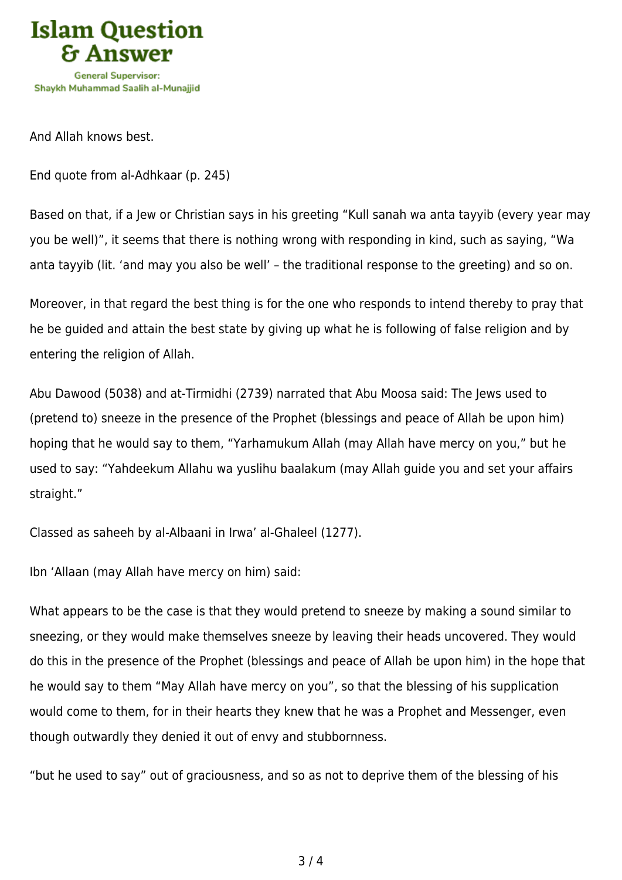

And Allah knows best.

End quote from al-Adhkaar (p. 245)

Based on that, if a Jew or Christian says in his greeting "Kull sanah wa anta tayyib (every year may you be well)", it seems that there is nothing wrong with responding in kind, such as saying, "Wa anta tayyib (lit. 'and may you also be well' – the traditional response to the greeting) and so on.

Moreover, in that regard the best thing is for the one who responds to intend thereby to pray that he be guided and attain the best state by giving up what he is following of false religion and by entering the religion of Allah.

Abu Dawood (5038) and at-Tirmidhi (2739) narrated that Abu Moosa said: The Jews used to (pretend to) sneeze in the presence of the Prophet (blessings and peace of Allah be upon him) hoping that he would say to them, "Yarhamukum Allah (may Allah have mercy on you," but he used to say: "Yahdeekum Allahu wa yuslihu baalakum (may Allah guide you and set your affairs straight."

Classed as saheeh by al-Albaani in Irwa' al-Ghaleel (1277).

Ibn 'Allaan (may Allah have mercy on him) said:

What appears to be the case is that they would pretend to sneeze by making a sound similar to sneezing, or they would make themselves sneeze by leaving their heads uncovered. They would do this in the presence of the Prophet (blessings and peace of Allah be upon him) in the hope that he would say to them "May Allah have mercy on you", so that the blessing of his supplication would come to them, for in their hearts they knew that he was a Prophet and Messenger, even though outwardly they denied it out of envy and stubbornness.

"but he used to say" out of graciousness, and so as not to deprive them of the blessing of his